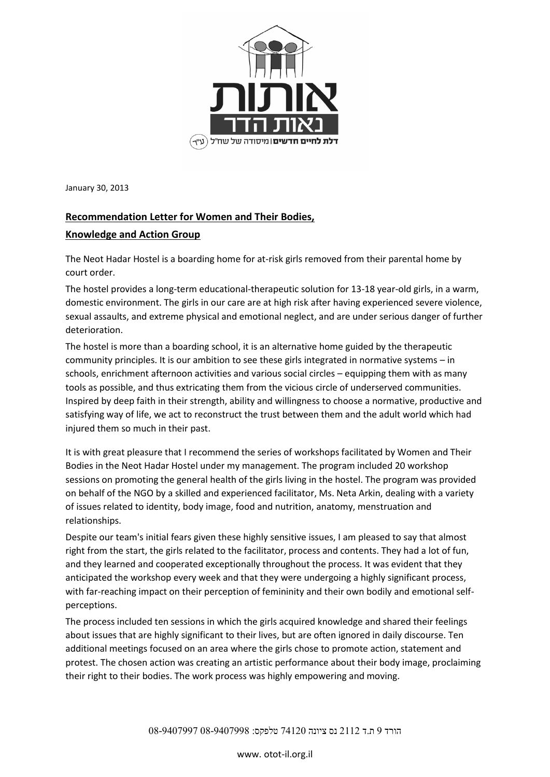

January 30, 2013

## **Recommendation Letter for Women and Their Bodies,**

## **Knowledge and Action Group**

The Neot Hadar Hostel is a boarding home for at-risk girls removed from their parental home by court order.

The hostel provides a long-term educational-therapeutic solution for 13-18 year-old girls, in a warm, domestic environment. The girls in our care are at high risk after having experienced severe violence, sexual assaults, and extreme physical and emotional neglect, and are under serious danger of further deterioration.

The hostel is more than a boarding school, it is an alternative home guided by the therapeutic community principles. It is our ambition to see these girls integrated in normative systems – in schools, enrichment afternoon activities and various social circles – equipping them with as many tools as possible, and thus extricating them from the vicious circle of underserved communities. Inspired by deep faith in their strength, ability and willingness to choose a normative, productive and satisfying way of life, we act to reconstruct the trust between them and the adult world which had injured them so much in their past.

It is with great pleasure that I recommend the series of workshops facilitated by Women and Their Bodies in the Neot Hadar Hostel under my management. The program included 20 workshop sessions on promoting the general health of the girls living in the hostel. The program was provided on behalf of the NGO by a skilled and experienced facilitator, Ms. Neta Arkin, dealing with a variety of issues related to identity, body image, food and nutrition, anatomy, menstruation and relationships.

Despite our team's initial fears given these highly sensitive issues, I am pleased to say that almost right from the start, the girls related to the facilitator, process and contents. They had a lot of fun, and they learned and cooperated exceptionally throughout the process. It was evident that they anticipated the workshop every week and that they were undergoing a highly significant process, with far-reaching impact on their perception of femininity and their own bodily and emotional selfperceptions.

The process included ten sessions in which the girls acquired knowledge and shared their feelings about issues that are highly significant to their lives, but are often ignored in daily discourse. Ten additional meetings focused on an area where the girls chose to promote action, statement and protest. The chosen action was creating an artistic performance about their body image, proclaiming their right to their bodies. The work process was highly empowering and moving.

הורד 9 ת.ד 2112 נס ציונה 74120 טלפקס: 08-9407998 08-9407997